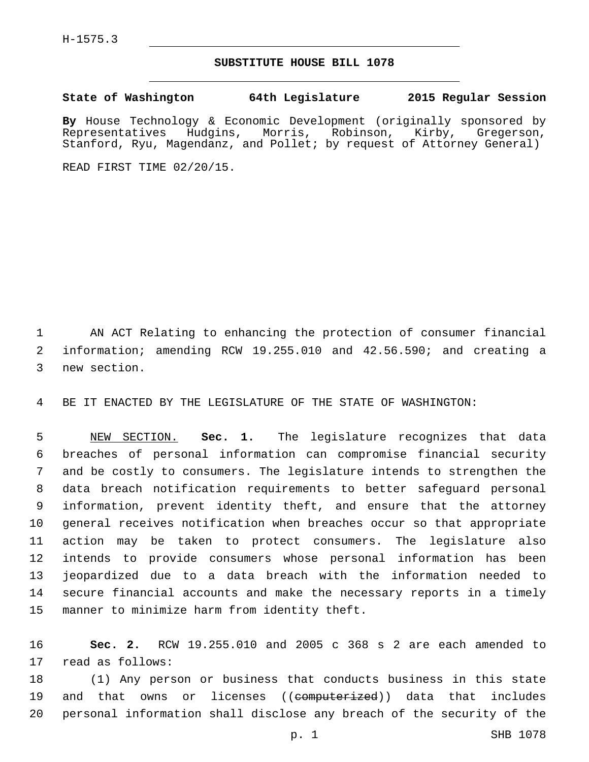## **SUBSTITUTE HOUSE BILL 1078**

**State of Washington 64th Legislature 2015 Regular Session**

**By** House Technology & Economic Development (originally sponsored by Representatives Hudgins, Morris, Robinson, Kirby, Gregerson, Stanford, Ryu, Magendanz, and Pollet; by request of Attorney General)

READ FIRST TIME 02/20/15.

 AN ACT Relating to enhancing the protection of consumer financial information; amending RCW 19.255.010 and 42.56.590; and creating a 3 new section.

BE IT ENACTED BY THE LEGISLATURE OF THE STATE OF WASHINGTON:

 NEW SECTION. **Sec. 1.** The legislature recognizes that data breaches of personal information can compromise financial security and be costly to consumers. The legislature intends to strengthen the data breach notification requirements to better safeguard personal information, prevent identity theft, and ensure that the attorney general receives notification when breaches occur so that appropriate action may be taken to protect consumers. The legislature also intends to provide consumers whose personal information has been jeopardized due to a data breach with the information needed to secure financial accounts and make the necessary reports in a timely manner to minimize harm from identity theft.

 **Sec. 2.** RCW 19.255.010 and 2005 c 368 s 2 are each amended to 17 read as follows:

 (1) Any person or business that conducts business in this state 19 and that owns or licenses ((<del>computerized</del>)) data that includes personal information shall disclose any breach of the security of the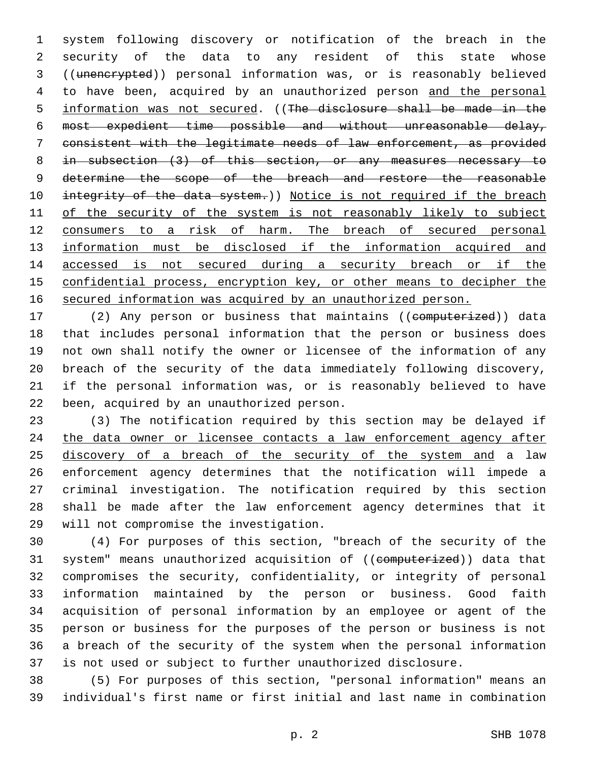system following discovery or notification of the breach in the security of the data to any resident of this state whose ((unencrypted)) personal information was, or is reasonably believed to have been, acquired by an unauthorized person and the personal information was not secured. ((The disclosure shall be made in the most expedient time possible and without unreasonable delay, consistent with the legitimate needs of law enforcement, as provided in subsection (3) of this section, or any measures necessary to 9 determine the scope of the breach and restore the reasonable 10 integrity of the data system.)) Notice is not required if the breach 11 of the security of the system is not reasonably likely to subject consumers to a risk of harm. The breach of secured personal 13 information must be disclosed if the information acquired and accessed is not secured during a security breach or if the confidential process, encryption key, or other means to decipher the secured information was acquired by an unauthorized person.

17 (2) Any person or business that maintains ((computerized)) data that includes personal information that the person or business does not own shall notify the owner or licensee of the information of any breach of the security of the data immediately following discovery, if the personal information was, or is reasonably believed to have 22 been, acquired by an unauthorized person.

 (3) The notification required by this section may be delayed if 24 the data owner or licensee contacts a law enforcement agency after 25 discovery of a breach of the security of the system and a law enforcement agency determines that the notification will impede a criminal investigation. The notification required by this section shall be made after the law enforcement agency determines that it 29 will not compromise the investigation.

 (4) For purposes of this section, "breach of the security of the 31 system" means unauthorized acquisition of ((computerized)) data that compromises the security, confidentiality, or integrity of personal information maintained by the person or business. Good faith acquisition of personal information by an employee or agent of the person or business for the purposes of the person or business is not a breach of the security of the system when the personal information is not used or subject to further unauthorized disclosure.

 (5) For purposes of this section, "personal information" means an individual's first name or first initial and last name in combination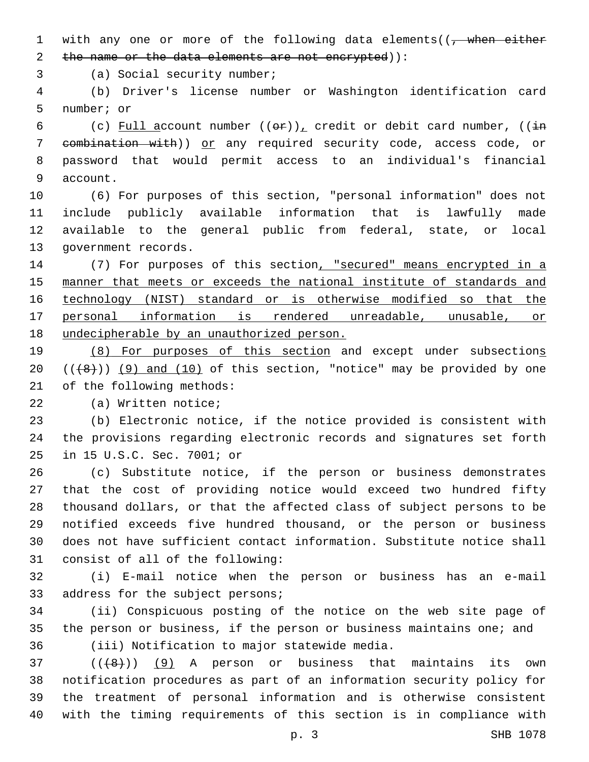1 with any one or more of the following data elements( $\sqrt{$ , when either 2 the name or the data elements are not encrypted)):

3 (a) Social security number;

 (b) Driver's license number or Washington identification card 5 number; or

6 (c) Full account number  $((e^E))^L$  credit or debit card number,  $((\frac{1}{2}m)^{\frac{1}{2}})^L$  combination with)) or any required security code, access code, or password that would permit access to an individual's financial 9 account.

 (6) For purposes of this section, "personal information" does not include publicly available information that is lawfully made available to the general public from federal, state, or local 13 government records.

 (7) For purposes of this section, "secured" means encrypted in a manner that meets or exceeds the national institute of standards and technology (NIST) standard or is otherwise modified so that the personal information is rendered unreadable, unusable, or undecipherable by an unauthorized person.

19 (8) For purposes of this section and except under subsections 20  $((+8))$  (9) and (10) of this section, "notice" may be provided by one 21 of the following methods:

22 (a) Written notice;

 (b) Electronic notice, if the notice provided is consistent with the provisions regarding electronic records and signatures set forth 25 in 15 U.S.C. Sec. 7001; or

 (c) Substitute notice, if the person or business demonstrates that the cost of providing notice would exceed two hundred fifty thousand dollars, or that the affected class of subject persons to be notified exceeds five hundred thousand, or the person or business does not have sufficient contact information. Substitute notice shall 31 consist of all of the following:

 (i) E-mail notice when the person or business has an e-mail 33 address for the subject persons;

 (ii) Conspicuous posting of the notice on the web site page of the person or business, if the person or business maintains one; and 36 (iii) Notification to major statewide media.

 ( $(\overline{+8})$ ) (9) A person or business that maintains its own notification procedures as part of an information security policy for the treatment of personal information and is otherwise consistent with the timing requirements of this section is in compliance with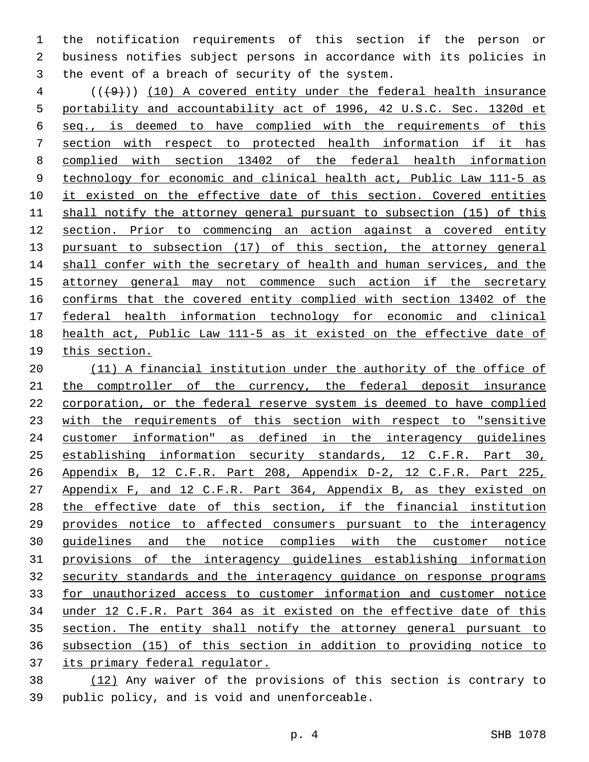the notification requirements of this section if the person or business notifies subject persons in accordance with its policies in 3 the event of a breach of security of the system.

 (( $\left(\frac{49}{10}\right)$  (10) A covered entity under the federal health insurance portability and accountability act of 1996, 42 U.S.C. Sec. 1320d et seq., is deemed to have complied with the requirements of this section with respect to protected health information if it has complied with section 13402 of the federal health information technology for economic and clinical health act, Public Law 111-5 as 10 it existed on the effective date of this section. Covered entities shall notify the attorney general pursuant to subsection (15) of this section. Prior to commencing an action against a covered entity pursuant to subsection (17) of this section, the attorney general shall confer with the secretary of health and human services, and the 15 attorney general may not commence such action if the secretary confirms that the covered entity complied with section 13402 of the federal health information technology for economic and clinical health act, Public Law 111-5 as it existed on the effective date of this section.

 (11) A financial institution under the authority of the office of 21 the comptroller of the currency, the federal deposit insurance corporation, or the federal reserve system is deemed to have complied 23 with the requirements of this section with respect to "sensitive customer information" as defined in the interagency guidelines establishing information security standards, 12 C.F.R. Part 30, Appendix B, 12 C.F.R. Part 208, Appendix D-2, 12 C.F.R. Part 225, Appendix F, and 12 C.F.R. Part 364, Appendix B, as they existed on the effective date of this section, if the financial institution provides notice to affected consumers pursuant to the interagency guidelines and the notice complies with the customer notice provisions of the interagency guidelines establishing information security standards and the interagency guidance on response programs for unauthorized access to customer information and customer notice under 12 C.F.R. Part 364 as it existed on the effective date of this section. The entity shall notify the attorney general pursuant to subsection (15) of this section in addition to providing notice to its primary federal regulator.

 (12) Any waiver of the provisions of this section is contrary to 39 public policy, and is void and unenforceable.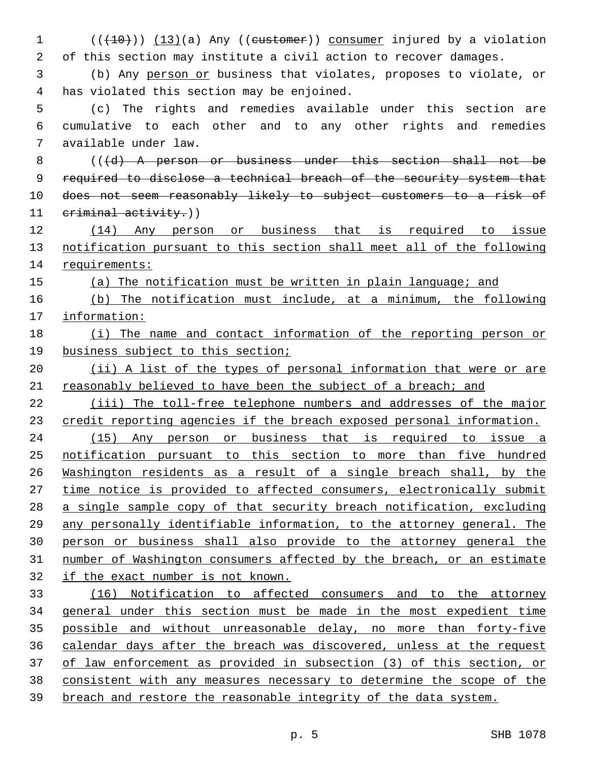(( $(10)$ )) (13)(a) Any ((eustomer)) consumer injured by a violation of this section may institute a civil action to recover damages. (b) Any person or business that violates, proposes to violate, or 4 has violated this section may be enjoined. (c) The rights and remedies available under this section are cumulative to each other and to any other rights and remedies available under law.7 8 (((d) A person or business under this section shall not be 9 required to disclose a technical breach of the security system that does not seem reasonably likely to subject customers to a risk of 11 criminal activity.)) (14) Any person or business that is required to issue notification pursuant to this section shall meet all of the following 14 requirements: (a) The notification must be written in plain language; and (b) The notification must include, at a minimum, the following information: (i) The name and contact information of the reporting person or business subject to this section; (ii) A list of the types of personal information that were or are 21 reasonably believed to have been the subject of a breach; and (iii) The toll-free telephone numbers and addresses of the major credit reporting agencies if the breach exposed personal information. (15) Any person or business that is required to issue a notification pursuant to this section to more than five hundred Washington residents as a result of a single breach shall, by the time notice is provided to affected consumers, electronically submit a single sample copy of that security breach notification, excluding any personally identifiable information, to the attorney general. The person or business shall also provide to the attorney general the number of Washington consumers affected by the breach, or an estimate if the exact number is not known. (16) Notification to affected consumers and to the attorney general under this section must be made in the most expedient time possible and without unreasonable delay, no more than forty-five calendar days after the breach was discovered, unless at the request of law enforcement as provided in subsection (3) of this section, or consistent with any measures necessary to determine the scope of the 39 breach and restore the reasonable integrity of the data system.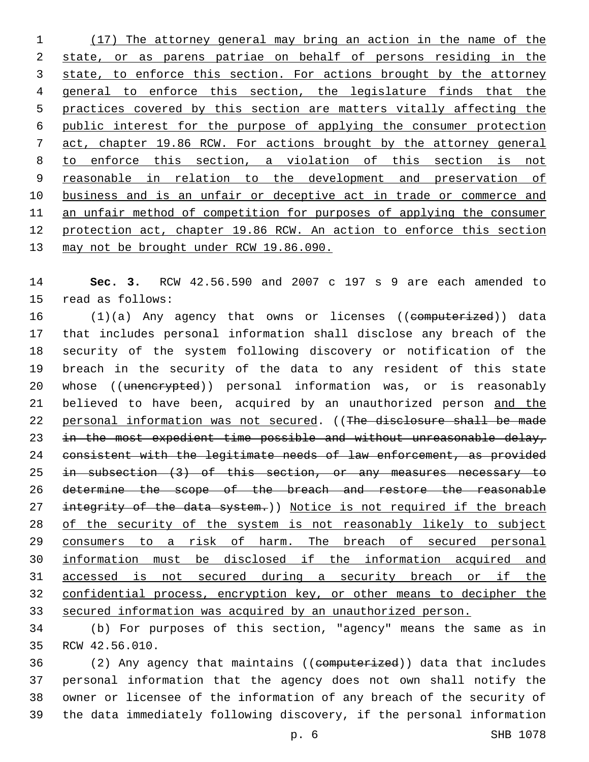(17) The attorney general may bring an action in the name of the state, or as parens patriae on behalf of persons residing in the 3 state, to enforce this section. For actions brought by the attorney general to enforce this section, the legislature finds that the practices covered by this section are matters vitally affecting the public interest for the purpose of applying the consumer protection act, chapter 19.86 RCW. For actions brought by the attorney general to enforce this section, a violation of this section is not reasonable in relation to the development and preservation of business and is an unfair or deceptive act in trade or commerce and an unfair method of competition for purposes of applying the consumer protection act, chapter 19.86 RCW. An action to enforce this section 13 may not be brought under RCW 19.86.090.

 **Sec. 3.** RCW 42.56.590 and 2007 c 197 s 9 are each amended to 15 read as follows:

16 (1)(a) Any agency that owns or licenses ((computerized)) data that includes personal information shall disclose any breach of the security of the system following discovery or notification of the breach in the security of the data to any resident of this state 20 whose ((unencrypted)) personal information was, or is reasonably believed to have been, acquired by an unauthorized person and the 22 personal information was not secured. ((The disclosure shall be made 23 in the most expedient time possible and without unreasonable delay, 24 consistent with the legitimate needs of law enforcement, as provided 25 in subsection (3) of this section, or any measures necessary to determine the scope of the breach and restore the reasonable 27 integrity of the data system.)) Notice is not required if the breach of the security of the system is not reasonably likely to subject 29 consumers to a risk of harm. The breach of secured personal information must be disclosed if the information acquired and accessed is not secured during a security breach or if the confidential process, encryption key, or other means to decipher the 33 secured information was acquired by an unauthorized person.

 (b) For purposes of this section, "agency" means the same as in 35 RCW 42.56.010.

36 (2) Any agency that maintains ((computerized)) data that includes personal information that the agency does not own shall notify the owner or licensee of the information of any breach of the security of the data immediately following discovery, if the personal information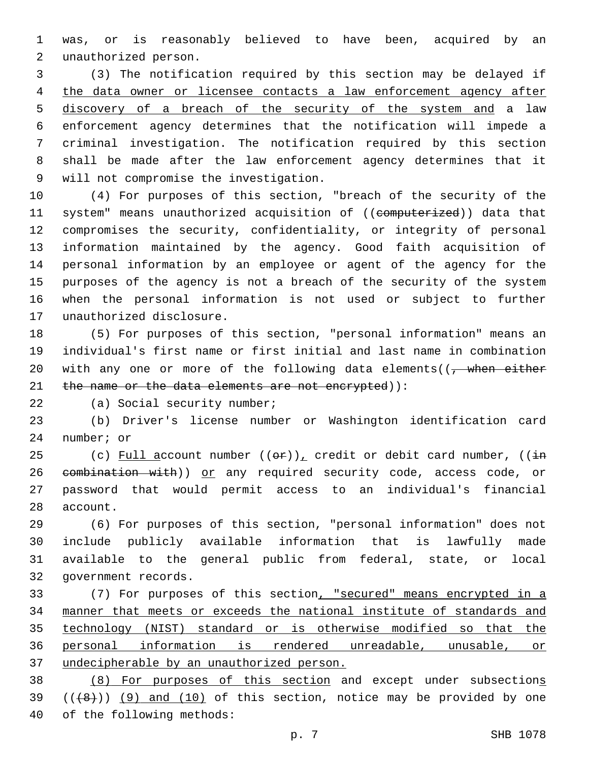was, or is reasonably believed to have been, acquired by an unauthorized person.2

 (3) The notification required by this section may be delayed if 4 the data owner or licensee contacts a law enforcement agency after discovery of a breach of the security of the system and a law enforcement agency determines that the notification will impede a criminal investigation. The notification required by this section shall be made after the law enforcement agency determines that it 9 will not compromise the investigation.

 (4) For purposes of this section, "breach of the security of the 11 system" means unauthorized acquisition of ((computerized)) data that compromises the security, confidentiality, or integrity of personal information maintained by the agency. Good faith acquisition of personal information by an employee or agent of the agency for the purposes of the agency is not a breach of the security of the system when the personal information is not used or subject to further 17 unauthorized disclosure.

 (5) For purposes of this section, "personal information" means an individual's first name or first initial and last name in combination 20 with any one or more of the following data elements( $\sqrt{$ , when either 21 the name or the data elements are not encrypted)):

22 (a) Social security number;

 (b) Driver's license number or Washington identification card 24 number; or

25 (c) Full account number  $((\theta \cdot \hat{r}))_L$  credit or debit card number,  $((\dot{r} + \hat{r})_L)$ 26 eombination with)) or any required security code, access code, or password that would permit access to an individual's financial 28 account.

 (6) For purposes of this section, "personal information" does not include publicly available information that is lawfully made available to the general public from federal, state, or local 32 government records.

 (7) For purposes of this section, "secured" means encrypted in a manner that meets or exceeds the national institute of standards and technology (NIST) standard or is otherwise modified so that the personal information is rendered unreadable, unusable, or undecipherable by an unauthorized person.

 (8) For purposes of this section and except under subsections 39  $((+8))$  (9) and (10) of this section, notice may be provided by one 40 of the following methods: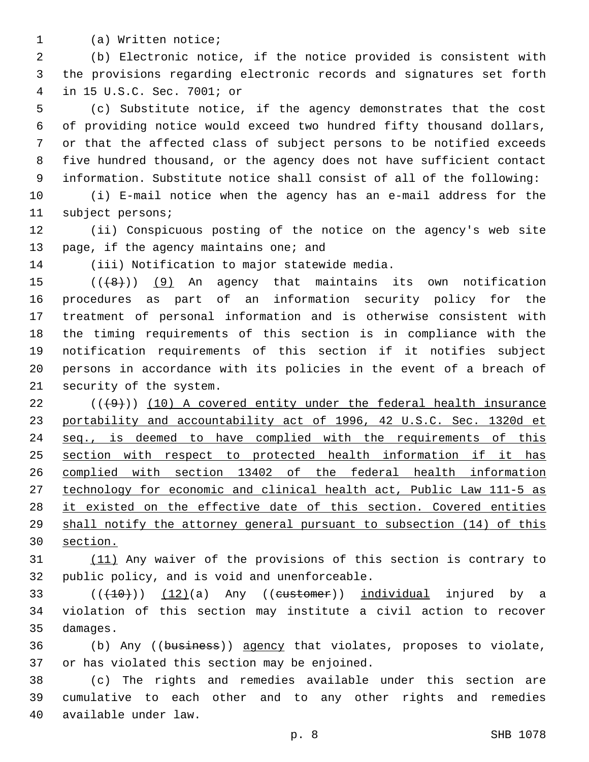1 (a) Written notice;

 (b) Electronic notice, if the notice provided is consistent with the provisions regarding electronic records and signatures set forth in 15 U.S.C. Sec. 7001; or4

 (c) Substitute notice, if the agency demonstrates that the cost of providing notice would exceed two hundred fifty thousand dollars, or that the affected class of subject persons to be notified exceeds five hundred thousand, or the agency does not have sufficient contact information. Substitute notice shall consist of all of the following:

 (i) E-mail notice when the agency has an e-mail address for the 11 subject persons;

 (ii) Conspicuous posting of the notice on the agency's web site 13 page, if the agency maintains one; and

14 (iii) Notification to major statewide media.

 $((+8))$   $(9)$  An agency that maintains its own notification procedures as part of an information security policy for the treatment of personal information and is otherwise consistent with the timing requirements of this section is in compliance with the notification requirements of this section if it notifies subject persons in accordance with its policies in the event of a breach of 21 security of the system.

 ( $(\frac{49}{})$ ) (10) A covered entity under the federal health insurance 23 portability and accountability act of 1996, 42 U.S.C. Sec. 1320d et seq., is deemed to have complied with the requirements of this section with respect to protected health information if it has complied with section 13402 of the federal health information technology for economic and clinical health act, Public Law 111-5 as 28 it existed on the effective date of this section. Covered entities shall notify the attorney general pursuant to subsection (14) of this section.

 (11) Any waiver of the provisions of this section is contrary to 32 public policy, and is void and unenforceable.

 $(33 \t {( $(+10)$ ))$   $(12)(a)$  Any  $($ (eustomer)) individual injured by a violation of this section may institute a civil action to recover 35 damages.

 (b) Any ((business)) agency that violates, proposes to violate, 37 or has violated this section may be enjoined.

 (c) The rights and remedies available under this section are cumulative to each other and to any other rights and remedies 40 available under law.